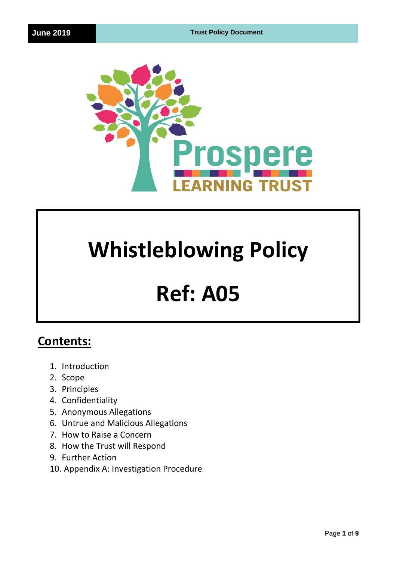

# **Whistleblowing Policy**

# **Ref: A05**

# **Contents:**

- 1. Introduction
- 2. Scope
- 3. Principles
- 4. Confidentiality
- 5. Anonymous Allegations
- 6. Untrue and Malicious Allegations
- 7. How to Raise a Concern
- 8. How the Trust will Respond
- 9. Further Action
- 10. Appendix A: Investigation Procedure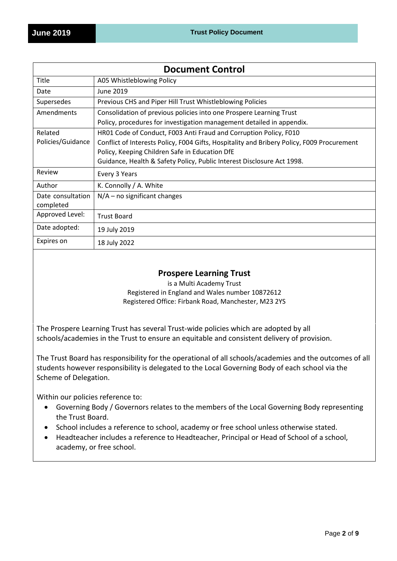| <b>Document Control</b> |                                                                                            |
|-------------------------|--------------------------------------------------------------------------------------------|
| Title                   | A05 Whistleblowing Policy                                                                  |
| Date                    | June 2019                                                                                  |
| Supersedes              | Previous CHS and Piper Hill Trust Whistleblowing Policies                                  |
| Amendments              | Consolidation of previous policies into one Prospere Learning Trust                        |
|                         | Policy, procedures for investigation management detailed in appendix.                      |
| Related                 | HR01 Code of Conduct, F003 Anti Fraud and Corruption Policy, F010                          |
| Policies/Guidance       | Conflict of Interests Policy, F004 Gifts, Hospitality and Bribery Policy, F009 Procurement |
|                         | Policy, Keeping Children Safe in Education DfE                                             |
|                         | Guidance, Health & Safety Policy, Public Interest Disclosure Act 1998.                     |
| Review                  | Every 3 Years                                                                              |
| Author                  | K. Connolly / A. White                                                                     |
| Date consultation       | $N/A$ – no significant changes                                                             |
| completed               |                                                                                            |
| Approved Level:         | <b>Trust Board</b>                                                                         |
| Date adopted:           | 19 July 2019                                                                               |
| Expires on              | 18 July 2022                                                                               |

# **Prospere Learning Trust**

is a Multi Academy Trust Registered in England and Wales number 10872612 Registered Office: Firbank Road, Manchester, M23 2YS

The Prospere Learning Trust has several Trust-wide policies which are adopted by all schools/academies in the Trust to ensure an equitable and consistent delivery of provision.

The Trust Board has responsibility for the operational of all schools/academies and the outcomes of all students however responsibility is delegated to the Local Governing Body of each school via the Scheme of Delegation.

Within our policies reference to:

- Governing Body / Governors relates to the members of the Local Governing Body representing the Trust Board.
- School includes a reference to school, academy or free school unless otherwise stated.
- Headteacher includes a reference to Headteacher, Principal or Head of School of a school, academy, or free school.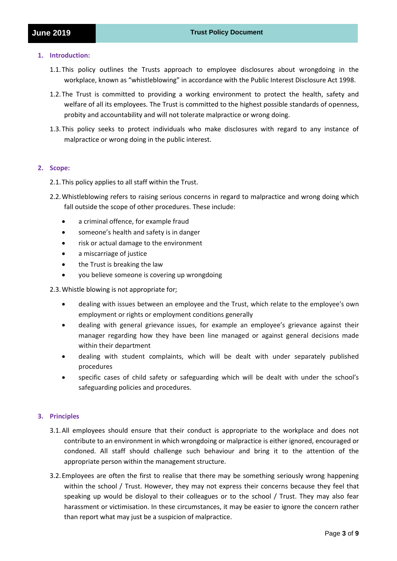#### **1. Introduction:**

- 1.1.This policy outlines the Trusts approach to employee disclosures about wrongdoing in the workplace, known as "whistleblowing" in accordance with the Public Interest Disclosure Act 1998.
- 1.2.The Trust is committed to providing a working environment to protect the health, safety and welfare of all its employees. The Trust is committed to the highest possible standards of openness, probity and accountability and will not tolerate malpractice or wrong doing.
- 1.3.This policy seeks to protect individuals who make disclosures with regard to any instance of malpractice or wrong doing in the public interest.

# **2. Scope:**

- 2.1.This policy applies to all staff within the Trust.
- 2.2.Whistleblowing refers to raising serious concerns in regard to malpractice and wrong doing which fall outside the scope of other procedures. These include:
	- a criminal offence, for example fraud
	- someone's health and safety is in danger
	- risk or actual damage to the environment
	- a miscarriage of justice
	- the Trust is breaking the law
	- you believe someone is covering up wrongdoing
- 2.3.Whistle blowing is not appropriate for;
	- dealing with issues between an employee and the Trust, which relate to the employee's own employment or rights or employment conditions generally
	- dealing with general grievance issues, for example an employee's grievance against their manager regarding how they have been line managed or against general decisions made within their department
	- dealing with student complaints, which will be dealt with under separately published procedures
	- specific cases of child safety or safeguarding which will be dealt with under the school's safeguarding policies and procedures.

# **3. Principles**

- 3.1.All employees should ensure that their conduct is appropriate to the workplace and does not contribute to an environment in which wrongdoing or malpractice is either ignored, encouraged or condoned. All staff should challenge such behaviour and bring it to the attention of the appropriate person within the management structure.
- 3.2.Employees are often the first to realise that there may be something seriously wrong happening within the school / Trust. However, they may not express their concerns because they feel that speaking up would be disloyal to their colleagues or to the school / Trust. They may also fear harassment or victimisation. In these circumstances, it may be easier to ignore the concern rather than report what may just be a suspicion of malpractice.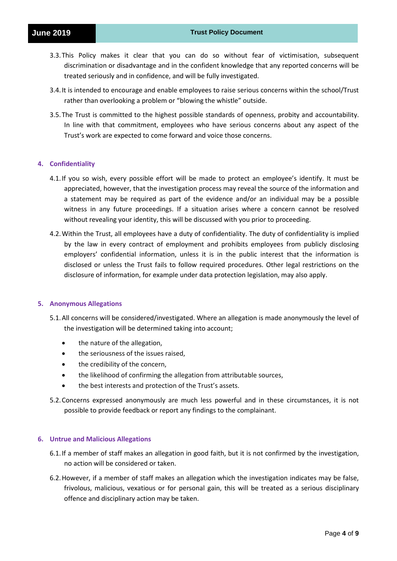- 3.3.This Policy makes it clear that you can do so without fear of victimisation, subsequent discrimination or disadvantage and in the confident knowledge that any reported concerns will be treated seriously and in confidence, and will be fully investigated.
- 3.4.It is intended to encourage and enable employees to raise serious concerns within the school/Trust rather than overlooking a problem or "blowing the whistle" outside.
- 3.5.The Trust is committed to the highest possible standards of openness, probity and accountability. In line with that commitment, employees who have serious concerns about any aspect of the Trust's work are expected to come forward and voice those concerns.

#### **4. Confidentiality**

- 4.1.If you so wish, every possible effort will be made to protect an employee's identify. It must be appreciated, however, that the investigation process may reveal the source of the information and a statement may be required as part of the evidence and/or an individual may be a possible witness in any future proceedings. If a situation arises where a concern cannot be resolved without revealing your identity, this will be discussed with you prior to proceeding.
- 4.2.Within the Trust, all employees have a duty of confidentiality. The duty of confidentiality is implied by the law in every contract of employment and prohibits employees from publicly disclosing employers' confidential information, unless it is in the public interest that the information is disclosed or unless the Trust fails to follow required procedures. Other legal restrictions on the disclosure of information, for example under data protection legislation, may also apply.

#### **5. Anonymous Allegations**

- 5.1.All concerns will be considered/investigated. Where an allegation is made anonymously the level of the investigation will be determined taking into account;
	- the nature of the allegation,
	- the seriousness of the issues raised,
	- the credibility of the concern,
	- the likelihood of confirming the allegation from attributable sources,
	- the best interests and protection of the Trust's assets.
- 5.2.Concerns expressed anonymously are much less powerful and in these circumstances, it is not possible to provide feedback or report any findings to the complainant.

#### **6. Untrue and Malicious Allegations**

- 6.1.If a member of staff makes an allegation in good faith, but it is not confirmed by the investigation, no action will be considered or taken.
- 6.2.However, if a member of staff makes an allegation which the investigation indicates may be false, frivolous, malicious, vexatious or for personal gain, this will be treated as a serious disciplinary offence and disciplinary action may be taken.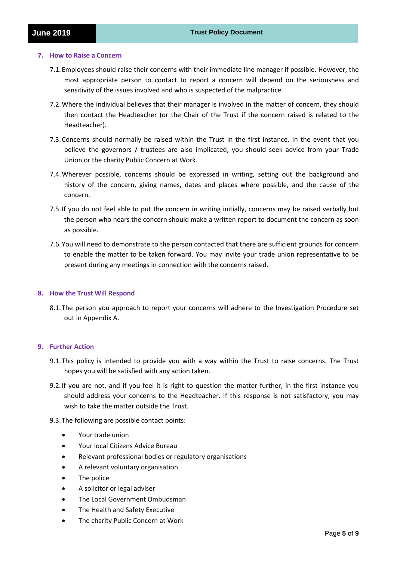#### **7. How to Raise a Concern**

- 7.1.Employees should raise their concerns with their immediate line manager if possible. However, the most appropriate person to contact to report a concern will depend on the seriousness and sensitivity of the issues involved and who is suspected of the malpractice.
- 7.2.Where the individual believes that their manager is involved in the matter of concern, they should then contact the Headteacher (or the Chair of the Trust if the concern raised is related to the Headteacher).
- 7.3.Concerns should normally be raised within the Trust in the first instance. In the event that you believe the governors / trustees are also implicated, you should seek advice from your Trade Union or the charity Public Concern at Work.
- 7.4.Wherever possible, concerns should be expressed in writing, setting out the background and history of the concern, giving names, dates and places where possible, and the cause of the concern.
- 7.5.If you do not feel able to put the concern in writing initially, concerns may be raised verbally but the person who hears the concern should make a written report to document the concern as soon as possible.
- 7.6.You will need to demonstrate to the person contacted that there are sufficient grounds for concern to enable the matter to be taken forward. You may invite your trade union representative to be present during any meetings in connection with the concerns raised.

# **8. How the Trust Will Respond**

8.1.The person you approach to report your concerns will adhere to the Investigation Procedure set out in Appendix A.

# **9. Further Action**

- 9.1.This policy is intended to provide you with a way within the Trust to raise concerns. The Trust hopes you will be satisfied with any action taken.
- 9.2.If you are not, and if you feel it is right to question the matter further, in the first instance you should address your concerns to the Headteacher. If this response is not satisfactory, you may wish to take the matter outside the Trust.
- 9.3.The following are possible contact points:
	- Your trade union
	- Your local Citizens Advice Bureau
	- Relevant professional bodies or regulatory organisations
	- A relevant voluntary organisation
	- The police
	- A solicitor or legal adviser
	- The Local Government Ombudsman
	- The Health and Safety Executive
	- The charity Public Concern at Work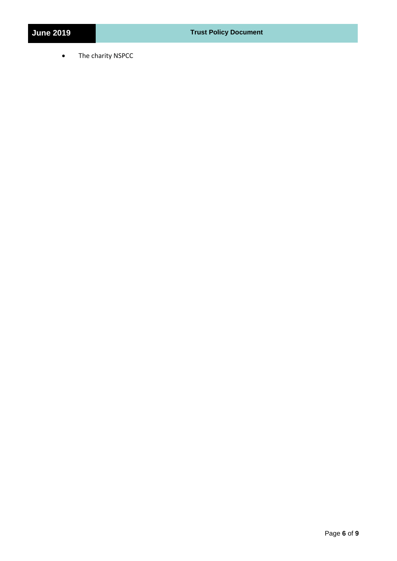• The charity NSPCC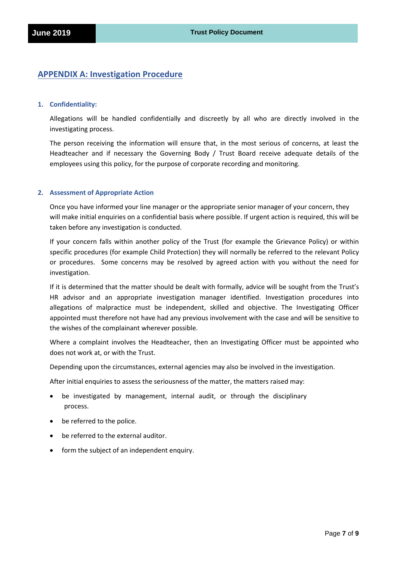# **APPENDIX A: Investigation Procedure**

#### **1. Confidentiality:**

Allegations will be handled confidentially and discreetly by all who are directly involved in the investigating process.

The person receiving the information will ensure that, in the most serious of concerns, at least the Headteacher and if necessary the Governing Body / Trust Board receive adequate details of the employees using this policy, for the purpose of corporate recording and monitoring.

#### **2. Assessment of Appropriate Action**

Once you have informed your line manager or the appropriate senior manager of your concern, they will make initial enquiries on a confidential basis where possible. If urgent action is required, this will be taken before any investigation is conducted.

If your concern falls within another policy of the Trust (for example the Grievance Policy) or within specific procedures (for example Child Protection) they will normally be referred to the relevant Policy or procedures. Some concerns may be resolved by agreed action with you without the need for investigation.

If it is determined that the matter should be dealt with formally, advice will be sought from the Trust's HR advisor and an appropriate investigation manager identified. Investigation procedures into allegations of malpractice must be independent, skilled and objective. The Investigating Officer appointed must therefore not have had any previous involvement with the case and will be sensitive to the wishes of the complainant wherever possible.

Where a complaint involves the Headteacher, then an Investigating Officer must be appointed who does not work at, or with the Trust.

Depending upon the circumstances, external agencies may also be involved in the investigation.

After initial enquiries to assess the seriousness of the matter, the matters raised may:

- be investigated by management, internal audit, or through the disciplinary process.
- be referred to the police.
- be referred to the external auditor.
- form the subject of an independent enquiry.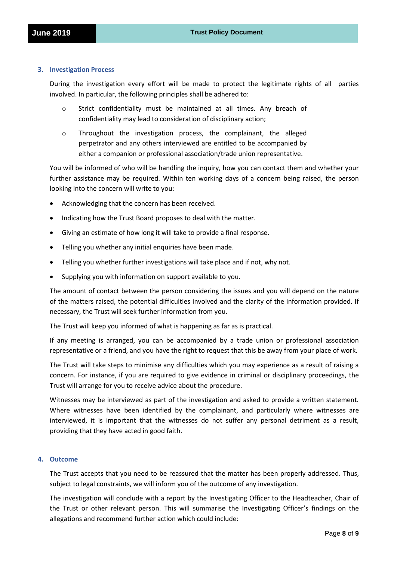#### **3. Investigation Process**

During the investigation every effort will be made to protect the legitimate rights of all parties involved. In particular, the following principles shall be adhered to:

- o Strict confidentiality must be maintained at all times. Any breach of confidentiality may lead to consideration of disciplinary action;
- o Throughout the investigation process, the complainant, the alleged perpetrator and any others interviewed are entitled to be accompanied by either a companion or professional association/trade union representative.

You will be informed of who will be handling the inquiry, how you can contact them and whether your further assistance may be required. Within ten working days of a concern being raised, the person looking into the concern will write to you:

- Acknowledging that the concern has been received.
- Indicating how the Trust Board proposes to deal with the matter.
- Giving an estimate of how long it will take to provide a final response.
- Telling you whether any initial enquiries have been made.
- Telling you whether further investigations will take place and if not, why not.
- Supplying you with information on support available to you.

The amount of contact between the person considering the issues and you will depend on the nature of the matters raised, the potential difficulties involved and the clarity of the information provided. If necessary, the Trust will seek further information from you.

The Trust will keep you informed of what is happening as far as is practical.

If any meeting is arranged, you can be accompanied by a trade union or professional association representative or a friend, and you have the right to request that this be away from your place of work.

The Trust will take steps to minimise any difficulties which you may experience as a result of raising a concern. For instance, if you are required to give evidence in criminal or disciplinary proceedings, the Trust will arrange for you to receive advice about the procedure.

Witnesses may be interviewed as part of the investigation and asked to provide a written statement. Where witnesses have been identified by the complainant, and particularly where witnesses are interviewed, it is important that the witnesses do not suffer any personal detriment as a result, providing that they have acted in good faith.

#### **4. Outcome**

The Trust accepts that you need to be reassured that the matter has been properly addressed. Thus, subject to legal constraints, we will inform you of the outcome of any investigation.

The investigation will conclude with a report by the Investigating Officer to the Headteacher, Chair of the Trust or other relevant person. This will summarise the Investigating Officer's findings on the allegations and recommend further action which could include: